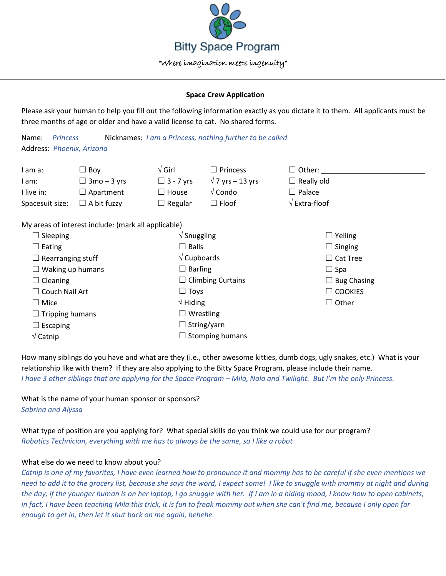

## **Space Crew Application**

Please ask your human to help you fill out the following information exactly as you dictate it to them. All applicants must be three months of age or older and have a valid license to cat. No shared forms.

| Name:<br><b>Princess</b>  |                                                     | Nicknames: I am a Princess, nothing further to be called |                          |                                            |
|---------------------------|-----------------------------------------------------|----------------------------------------------------------|--------------------------|--------------------------------------------|
| Address: Phoenix, Arizona |                                                     |                                                          |                          |                                            |
| I am a:                   | $\Box$ Boy                                          | $\sqrt{G}$ irl                                           | Princess                 | $\Box$ Other:                              |
| I am:                     | $\Box$ 3mo – 3 yrs                                  | $\Box$ 3 - 7 yrs                                         | $\sqrt{7}$ yrs – 13 yrs  | $\Box$ Really old                          |
| I live in:                | $\Box$ Apartment                                    | $\Box$ House                                             | $\sqrt{\text{Condo}}$    | $\Box$ Palace                              |
| Spacesuit size:           | $\Box$ A bit fuzzy                                  | $\Box$ Regular                                           | $\Box$ Floof             | $\sqrt{\mathsf{Extra}\cdot\mathsf{floof}}$ |
|                           | My areas of interest include: (mark all applicable) |                                                          |                          |                                            |
| $\Box$ Sleeping           |                                                     | $\sqrt{\frac{1}{1}}$ Snuggling                           |                          | $\Box$ Yelling                             |
| $\Box$ Eating             |                                                     | $\Box$ Balls                                             |                          | $\Box$ Singing                             |
| $\Box$ Rearranging stuff  |                                                     | $\sqrt{\text{Cupboards}}$                                |                          | $\Box$ Cat Tree                            |
| $\Box$ Waking up humans   |                                                     | $\Box$ Barfing                                           |                          | $\Box$ Spa                                 |
| $\Box$ Cleaning           |                                                     |                                                          | $\Box$ Climbing Curtains | $\Box$ Bug Chasing                         |
| $\Box$ Couch Nail Art     |                                                     | $\Box$ Toys                                              |                          | $\Box$ COOKIES                             |
| $\Box$ Mice               |                                                     | $\sqrt{}$ Hiding                                         |                          | $\Box$ Other                               |
| $\Box$ Tripping humans    |                                                     |                                                          | $\Box$ Wrestling         |                                            |

How many siblings do you have and what are they (i.e., other awesome kitties, dumb dogs, ugly snakes, etc.) What is your relationship like with them? If they are also applying to the Bitty Space Program, please include their name. *I have 3 other siblings that are applying for the Space Program – Mila, Nala and Twilight. But I'm the only Princess.*

What is the name of your human sponsor or sponsors? *Sabrina and Alyssa*

What type of position are you applying for? What special skills do you think we could use for our program? *Robotics Technician, everything with me has to always be the same, so I like a robot*

 $\Box$  String/yarn

 $\Box$  Stomping humans

## What else do we need to know about you?

 $\Box$  Escaping √ Catnip

*Catnip is one of my favorites, I have even learned how to pronounce it and mommy has to be careful if she even mentions we need to add it to the grocery list, because she says the word, I expect some! I like to snuggle with mommy at night and during the day, if the younger human is on her laptop, I go snuggle with her. If I am in a hiding mood, I know how to open cabinets, in fact, I have been teaching Mila this trick, it is fun to freak mommy out when she can't find me, because I only open far enough to get in, then let it shut back on me again, hehehe.*